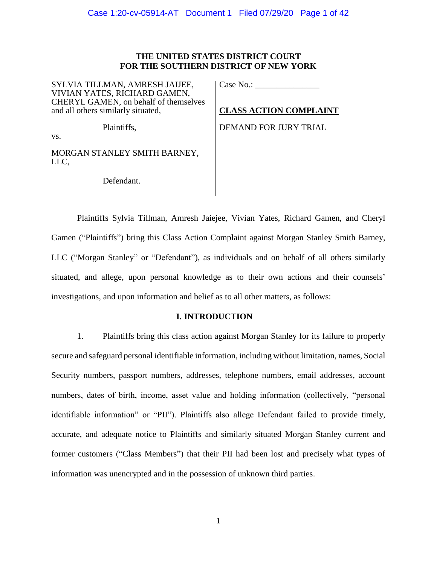### **THE UNITED STATES DISTRICT COURT FOR THE SOUTHERN DISTRICT OF NEW YORK**

SYLVIA TILLMAN, AMRESH JAIJEE, VIVIAN YATES, RICHARD GAMEN, CHERYL GAMEN, on behalf of themselves and all others similarly situated,

Case No.: \_\_\_\_\_\_\_\_\_\_\_\_\_\_\_

**CLASS ACTION COMPLAINT**

DEMAND FOR JURY TRIAL

Plaintiffs,

vs.

MORGAN STANLEY SMITH BARNEY, LLC,

Defendant.

Plaintiffs Sylvia Tillman, Amresh Jaiejee, Vivian Yates, Richard Gamen, and Cheryl Gamen ("Plaintiffs") bring this Class Action Complaint against Morgan Stanley Smith Barney, LLC ("Morgan Stanley" or "Defendant"), as individuals and on behalf of all others similarly situated, and allege, upon personal knowledge as to their own actions and their counsels' investigations, and upon information and belief as to all other matters, as follows:

### **I. INTRODUCTION**

1. Plaintiffs bring this class action against Morgan Stanley for its failure to properly secure and safeguard personal identifiable information, including without limitation, names, Social Security numbers, passport numbers, addresses, telephone numbers, email addresses, account numbers, dates of birth, income, asset value and holding information (collectively, "personal identifiable information" or "PII"). Plaintiffs also allege Defendant failed to provide timely, accurate, and adequate notice to Plaintiffs and similarly situated Morgan Stanley current and former customers ("Class Members") that their PII had been lost and precisely what types of information was unencrypted and in the possession of unknown third parties.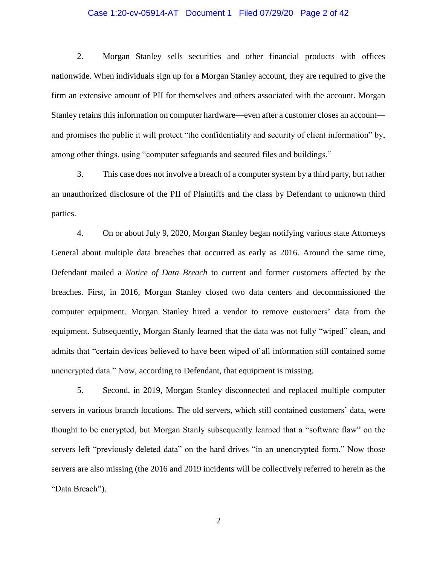#### Case 1:20-cv-05914-AT Document 1 Filed 07/29/20 Page 2 of 42

2. Morgan Stanley sells securities and other financial products with offices nationwide. When individuals sign up for a Morgan Stanley account, they are required to give the firm an extensive amount of PII for themselves and others associated with the account. Morgan Stanley retains this information on computer hardware—even after a customer closes an account and promises the public it will protect "the confidentiality and security of client information" by, among other things, using "computer safeguards and secured files and buildings."

3. This case does not involve a breach of a computer system by a third party, but rather an unauthorized disclosure of the PII of Plaintiffs and the class by Defendant to unknown third parties.

4. On or about July 9, 2020, Morgan Stanley began notifying various state Attorneys General about multiple data breaches that occurred as early as 2016. Around the same time, Defendant mailed a *Notice of Data Breach* to current and former customers affected by the breaches. First, in 2016, Morgan Stanley closed two data centers and decommissioned the computer equipment. Morgan Stanley hired a vendor to remove customers' data from the equipment. Subsequently, Morgan Stanly learned that the data was not fully "wiped" clean, and admits that "certain devices believed to have been wiped of all information still contained some unencrypted data." Now, according to Defendant, that equipment is missing.

5. Second, in 2019, Morgan Stanley disconnected and replaced multiple computer servers in various branch locations. The old servers, which still contained customers' data, were thought to be encrypted, but Morgan Stanly subsequently learned that a "software flaw" on the servers left "previously deleted data" on the hard drives "in an unencrypted form." Now those servers are also missing (the 2016 and 2019 incidents will be collectively referred to herein as the "Data Breach").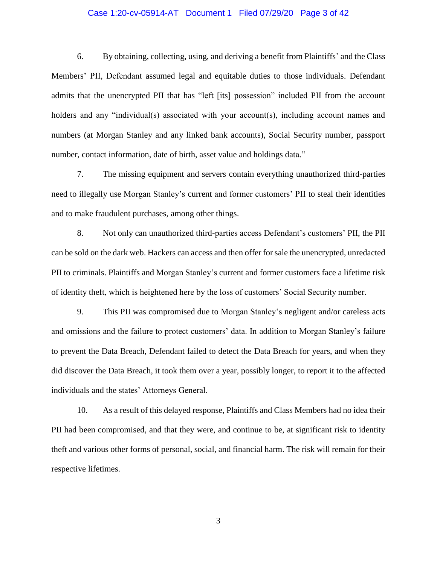#### Case 1:20-cv-05914-AT Document 1 Filed 07/29/20 Page 3 of 42

6. By obtaining, collecting, using, and deriving a benefit from Plaintiffs' and the Class Members' PII, Defendant assumed legal and equitable duties to those individuals. Defendant admits that the unencrypted PII that has "left [its] possession" included PII from the account holders and any "individual(s) associated with your account(s), including account names and numbers (at Morgan Stanley and any linked bank accounts), Social Security number, passport number, contact information, date of birth, asset value and holdings data."

7. The missing equipment and servers contain everything unauthorized third-parties need to illegally use Morgan Stanley's current and former customers' PII to steal their identities and to make fraudulent purchases, among other things.

8. Not only can unauthorized third-parties access Defendant's customers' PII, the PII can be sold on the dark web. Hackers can access and then offer for sale the unencrypted, unredacted PII to criminals. Plaintiffs and Morgan Stanley's current and former customers face a lifetime risk of identity theft, which is heightened here by the loss of customers' Social Security number.

9. This PII was compromised due to Morgan Stanley's negligent and/or careless acts and omissions and the failure to protect customers' data. In addition to Morgan Stanley's failure to prevent the Data Breach, Defendant failed to detect the Data Breach for years, and when they did discover the Data Breach, it took them over a year, possibly longer, to report it to the affected individuals and the states' Attorneys General.

10. As a result of this delayed response, Plaintiffs and Class Members had no idea their PII had been compromised, and that they were, and continue to be, at significant risk to identity theft and various other forms of personal, social, and financial harm. The risk will remain for their respective lifetimes.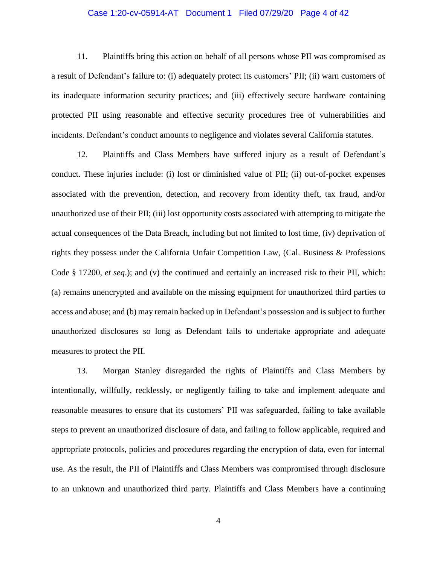#### Case 1:20-cv-05914-AT Document 1 Filed 07/29/20 Page 4 of 42

11. Plaintiffs bring this action on behalf of all persons whose PII was compromised as a result of Defendant's failure to: (i) adequately protect its customers' PII; (ii) warn customers of its inadequate information security practices; and (iii) effectively secure hardware containing protected PII using reasonable and effective security procedures free of vulnerabilities and incidents. Defendant's conduct amounts to negligence and violates several California statutes.

12. Plaintiffs and Class Members have suffered injury as a result of Defendant's conduct. These injuries include: (i) lost or diminished value of PII; (ii) out-of-pocket expenses associated with the prevention, detection, and recovery from identity theft, tax fraud, and/or unauthorized use of their PII; (iii) lost opportunity costs associated with attempting to mitigate the actual consequences of the Data Breach, including but not limited to lost time, (iv) deprivation of rights they possess under the California Unfair Competition Law, (Cal. Business & Professions Code § 17200, *et seq*.); and (v) the continued and certainly an increased risk to their PII, which: (a) remains unencrypted and available on the missing equipment for unauthorized third parties to access and abuse; and (b) may remain backed up in Defendant's possession and is subject to further unauthorized disclosures so long as Defendant fails to undertake appropriate and adequate measures to protect the PII.

13. Morgan Stanley disregarded the rights of Plaintiffs and Class Members by intentionally, willfully, recklessly, or negligently failing to take and implement adequate and reasonable measures to ensure that its customers' PII was safeguarded, failing to take available steps to prevent an unauthorized disclosure of data, and failing to follow applicable, required and appropriate protocols, policies and procedures regarding the encryption of data, even for internal use. As the result, the PII of Plaintiffs and Class Members was compromised through disclosure to an unknown and unauthorized third party. Plaintiffs and Class Members have a continuing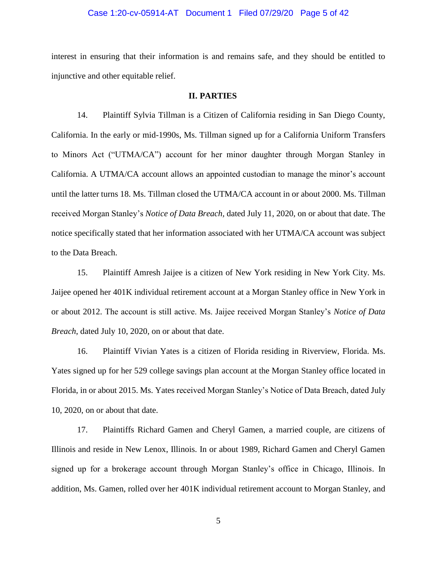#### Case 1:20-cv-05914-AT Document 1 Filed 07/29/20 Page 5 of 42

interest in ensuring that their information is and remains safe, and they should be entitled to injunctive and other equitable relief.

#### **II. PARTIES**

14. Plaintiff Sylvia Tillman is a Citizen of California residing in San Diego County, California. In the early or mid-1990s, Ms. Tillman signed up for a California Uniform Transfers to Minors Act ("UTMA/CA") account for her minor daughter through Morgan Stanley in California. A UTMA/CA account allows an appointed custodian to manage the minor's account until the latter turns 18. Ms. Tillman closed the UTMA/CA account in or about 2000. Ms. Tillman received Morgan Stanley's *Notice of Data Breach,* dated July 11, 2020, on or about that date. The notice specifically stated that her information associated with her UTMA/CA account was subject to the Data Breach.

15. Plaintiff Amresh Jaijee is a citizen of New York residing in New York City. Ms. Jaijee opened her 401K individual retirement account at a Morgan Stanley office in New York in or about 2012. The account is still active. Ms. Jaijee received Morgan Stanley's *Notice of Data Breach*, dated July 10, 2020, on or about that date.

16. Plaintiff Vivian Yates is a citizen of Florida residing in Riverview, Florida. Ms. Yates signed up for her 529 college savings plan account at the Morgan Stanley office located in Florida, in or about 2015. Ms. Yates received Morgan Stanley's Notice of Data Breach, dated July 10, 2020, on or about that date.

17. Plaintiffs Richard Gamen and Cheryl Gamen, a married couple, are citizens of Illinois and reside in New Lenox, Illinois. In or about 1989, Richard Gamen and Cheryl Gamen signed up for a brokerage account through Morgan Stanley's office in Chicago, Illinois. In addition, Ms. Gamen, rolled over her 401K individual retirement account to Morgan Stanley, and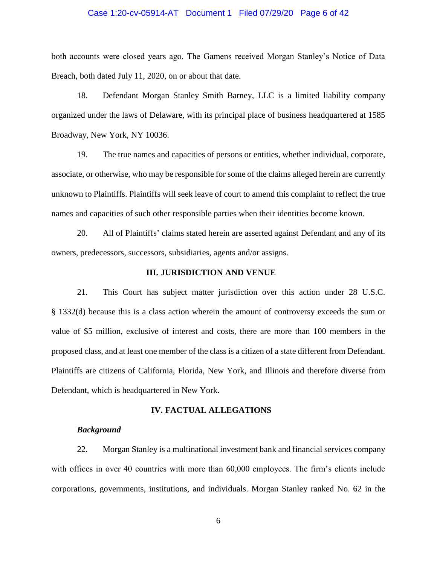#### Case 1:20-cv-05914-AT Document 1 Filed 07/29/20 Page 6 of 42

both accounts were closed years ago. The Gamens received Morgan Stanley's Notice of Data Breach, both dated July 11, 2020, on or about that date.

18. Defendant Morgan Stanley Smith Barney, LLC is a limited liability company organized under the laws of Delaware, with its principal place of business headquartered at 1585 Broadway, New York, NY 10036.

19. The true names and capacities of persons or entities, whether individual, corporate, associate, or otherwise, who may be responsible for some of the claims alleged herein are currently unknown to Plaintiffs. Plaintiffs will seek leave of court to amend this complaint to reflect the true names and capacities of such other responsible parties when their identities become known.

20. All of Plaintiffs' claims stated herein are asserted against Defendant and any of its owners, predecessors, successors, subsidiaries, agents and/or assigns.

#### **III. JURISDICTION AND VENUE**

21. This Court has subject matter jurisdiction over this action under 28 U.S.C. § 1332(d) because this is a class action wherein the amount of controversy exceeds the sum or value of \$5 million, exclusive of interest and costs, there are more than 100 members in the proposed class, and at least one member of the class is a citizen of a state different from Defendant. Plaintiffs are citizens of California, Florida, New York, and Illinois and therefore diverse from Defendant, which is headquartered in New York.

#### **IV. FACTUAL ALLEGATIONS**

#### *Background*

22. Morgan Stanley is a multinational investment bank and financial services company with offices in over 40 countries with more than 60,000 employees. The firm's clients include corporations, governments, institutions, and individuals. Morgan Stanley ranked No. 62 in the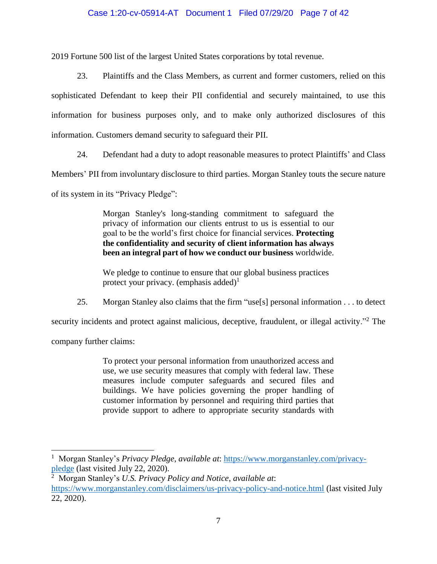### Case 1:20-cv-05914-AT Document 1 Filed 07/29/20 Page 7 of 42

2019 Fortune 500 list of the largest United States corporations by total revenue.

23. Plaintiffs and the Class Members, as current and former customers, relied on this sophisticated Defendant to keep their PII confidential and securely maintained, to use this information for business purposes only, and to make only authorized disclosures of this information. Customers demand security to safeguard their PII.

24. Defendant had a duty to adopt reasonable measures to protect Plaintiffs' and Class

Members' PII from involuntary disclosure to third parties. Morgan Stanley touts the secure nature

of its system in its "Privacy Pledge":

Morgan Stanley's long-standing commitment to safeguard the privacy of information our clients entrust to us is essential to our goal to be the world's first choice for financial services. **Protecting the confidentiality and security of client information has always been an integral part of how we conduct our business** worldwide.

We pledge to continue to ensure that our global business practices protect your privacy. (emphasis added)<sup>1</sup>

25. Morgan Stanley also claims that the firm "use[s] personal information . . . to detect

security incidents and protect against malicious, deceptive, fraudulent, or illegal activity."<sup>2</sup> The

company further claims:

To protect your personal information from unauthorized access and use, we use security measures that comply with federal law. These measures include computer safeguards and secured files and buildings. We have policies governing the proper handling of customer information by personnel and requiring third parties that provide support to adhere to appropriate security standards with

 1 Morgan Stanley's *Privacy Pledge*, *available at*: [https://www.morganstanley.com/privacy](https://www.morganstanley.com/privacy-pledge)[pledge](https://www.morganstanley.com/privacy-pledge) (last visited July 22, 2020).

<sup>2</sup> Morgan Stanley's *U.S. Privacy Policy and Notice*, *available at*: <https://www.morganstanley.com/disclaimers/us-privacy-policy-and-notice.html> (last visited July 22, 2020).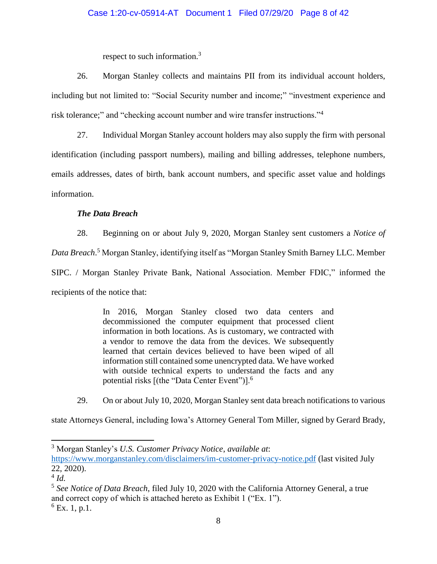### Case 1:20-cv-05914-AT Document 1 Filed 07/29/20 Page 8 of 42

respect to such information.<sup>3</sup>

26. Morgan Stanley collects and maintains PII from its individual account holders, including but not limited to: "Social Security number and income;" "investment experience and risk tolerance;" and "checking account number and wire transfer instructions."<sup>4</sup>

27. Individual Morgan Stanley account holders may also supply the firm with personal identification (including passport numbers), mailing and billing addresses, telephone numbers, emails addresses, dates of birth, bank account numbers, and specific asset value and holdings information.

### *The Data Breach*

28. Beginning on or about July 9, 2020, Morgan Stanley sent customers a *Notice of* 

*Data Breach*. <sup>5</sup> Morgan Stanley, identifying itself as "Morgan Stanley Smith Barney LLC. Member

SIPC. / Morgan Stanley Private Bank, National Association. Member FDIC," informed the

recipients of the notice that:

In 2016, Morgan Stanley closed two data centers and decommissioned the computer equipment that processed client information in both locations. As is customary, we contracted with a vendor to remove the data from the devices. We subsequently learned that certain devices believed to have been wiped of all information still contained some unencrypted data. We have worked with outside technical experts to understand the facts and any potential risks [(the "Data Center Event")].<sup>6</sup>

29. On or about July 10, 2020, Morgan Stanley sent data breach notifications to various

state Attorneys General, including Iowa's Attorney General Tom Miller, signed by Gerard Brady,

 $\overline{a}$ 

<sup>3</sup> Morgan Stanley's *U.S. Customer Privacy Notice*, *available at*:

<https://www.morganstanley.com/disclaimers/im-customer-privacy-notice.pdf> (last visited July 22, 2020).

<sup>4</sup> *Id.*

<sup>5</sup> *See Notice of Data Breach*, filed July 10, 2020 with the California Attorney General, a true and correct copy of which is attached hereto as Exhibit 1 ("Ex. 1").  $^{6}$  Ex. 1, p.1.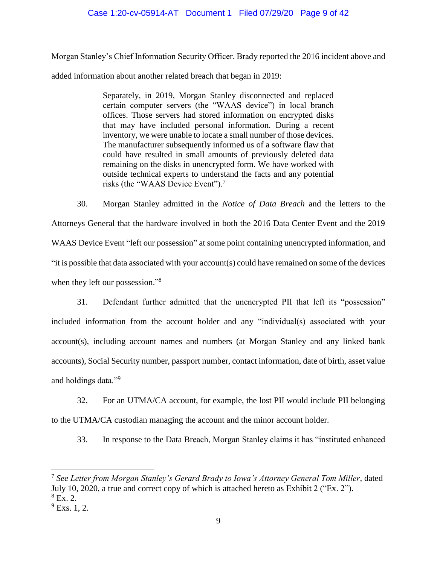### Case 1:20-cv-05914-AT Document 1 Filed 07/29/20 Page 9 of 42

Morgan Stanley's Chief Information Security Officer. Brady reported the 2016 incident above and added information about another related breach that began in 2019:

> Separately, in 2019, Morgan Stanley disconnected and replaced certain computer servers (the "WAAS device") in local branch offices. Those servers had stored information on encrypted disks that may have included personal information. During a recent inventory, we were unable to locate a small number of those devices. The manufacturer subsequently informed us of a software flaw that could have resulted in small amounts of previously deleted data remaining on the disks in unencrypted form. We have worked with outside technical experts to understand the facts and any potential risks (the "WAAS Device Event").<sup>7</sup>

30. Morgan Stanley admitted in the *Notice of Data Breach* and the letters to the Attorneys General that the hardware involved in both the 2016 Data Center Event and the 2019 WAAS Device Event "left our possession" at some point containing unencrypted information, and "it is possible that data associated with your account(s) could have remained on some of the devices when they left our possession."<sup>8</sup>

31. Defendant further admitted that the unencrypted PII that left its "possession" included information from the account holder and any "individual(s) associated with your account(s), including account names and numbers (at Morgan Stanley and any linked bank accounts), Social Security number, passport number, contact information, date of birth, asset value and holdings data."<sup>9</sup>

32. For an UTMA/CA account, for example, the lost PII would include PII belonging to the UTMA/CA custodian managing the account and the minor account holder.

33. In response to the Data Breach, Morgan Stanley claims it has "instituted enhanced

 $\overline{a}$ 7 *See Letter from Morgan Stanley's Gerard Brady to Iowa's Attorney General Tom Miller*, dated July 10, 2020, a true and correct copy of which is attached hereto as Exhibit 2 ("Ex. 2").  $8$  Ex. 2.

 $^{9}$  Exs. 1, 2.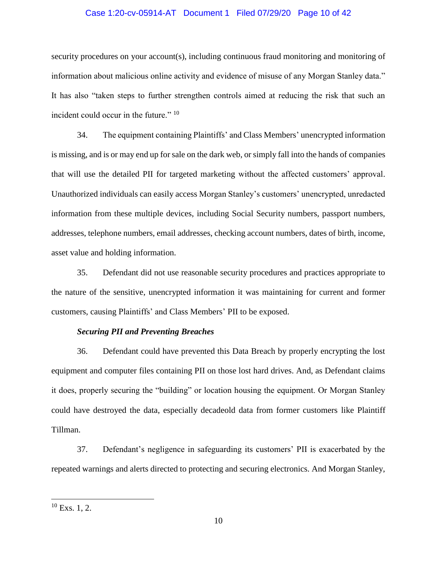#### Case 1:20-cv-05914-AT Document 1 Filed 07/29/20 Page 10 of 42

security procedures on your account(s), including continuous fraud monitoring and monitoring of information about malicious online activity and evidence of misuse of any Morgan Stanley data." It has also "taken steps to further strengthen controls aimed at reducing the risk that such an incident could occur in the future." <sup>10</sup>

34. The equipment containing Plaintiffs' and Class Members' unencrypted information is missing, and is or may end up for sale on the dark web, or simply fall into the hands of companies that will use the detailed PII for targeted marketing without the affected customers' approval. Unauthorized individuals can easily access Morgan Stanley's customers' unencrypted, unredacted information from these multiple devices, including Social Security numbers, passport numbers, addresses, telephone numbers, email addresses, checking account numbers, dates of birth, income, asset value and holding information.

35. Defendant did not use reasonable security procedures and practices appropriate to the nature of the sensitive, unencrypted information it was maintaining for current and former customers, causing Plaintiffs' and Class Members' PII to be exposed.

#### *Securing PII and Preventing Breaches*

36. Defendant could have prevented this Data Breach by properly encrypting the lost equipment and computer files containing PII on those lost hard drives. And, as Defendant claims it does, properly securing the "building" or location housing the equipment. Or Morgan Stanley could have destroyed the data, especially decadeold data from former customers like Plaintiff Tillman.

37. Defendant's negligence in safeguarding its customers' PII is exacerbated by the repeated warnings and alerts directed to protecting and securing electronics. And Morgan Stanley,

 $\overline{a}$ 

 $10$  Exs. 1, 2.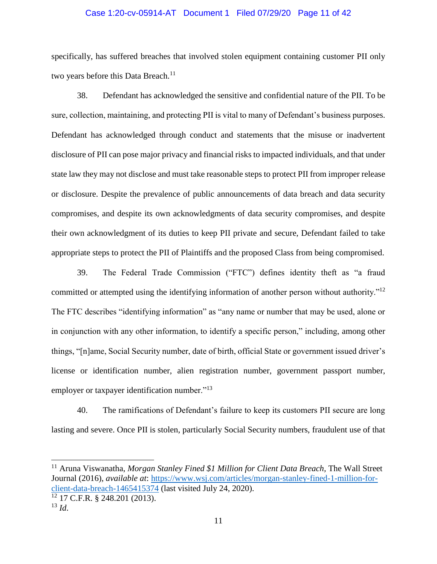#### Case 1:20-cv-05914-AT Document 1 Filed 07/29/20 Page 11 of 42

specifically, has suffered breaches that involved stolen equipment containing customer PII only two years before this Data Breach.<sup>11</sup>

38. Defendant has acknowledged the sensitive and confidential nature of the PII. To be sure, collection, maintaining, and protecting PII is vital to many of Defendant's business purposes. Defendant has acknowledged through conduct and statements that the misuse or inadvertent disclosure of PII can pose major privacy and financial risks to impacted individuals, and that under state law they may not disclose and must take reasonable steps to protect PII from improper release or disclosure. Despite the prevalence of public announcements of data breach and data security compromises, and despite its own acknowledgments of data security compromises, and despite their own acknowledgment of its duties to keep PII private and secure, Defendant failed to take appropriate steps to protect the PII of Plaintiffs and the proposed Class from being compromised.

39. The Federal Trade Commission ("FTC") defines identity theft as "a fraud committed or attempted using the identifying information of another person without authority."<sup>12</sup> The FTC describes "identifying information" as "any name or number that may be used, alone or in conjunction with any other information, to identify a specific person," including, among other things, "[n]ame, Social Security number, date of birth, official State or government issued driver's license or identification number, alien registration number, government passport number, employer or taxpayer identification number."<sup>13</sup>

40. The ramifications of Defendant's failure to keep its customers PII secure are long lasting and severe. Once PII is stolen, particularly Social Security numbers, fraudulent use of that

 $\overline{a}$ 

<sup>11</sup> Aruna Viswanatha, *Morgan Stanley Fined \$1 Million for Client Data Breach,* The Wall Street Journal (2016), *available at*: [https://www.wsj.com/articles/morgan-stanley-fined-1-million-for](https://www.wsj.com/articles/morgan-stanley-fined-1-million-for-client-data-breach-1465415374)[client-data-breach-1465415374](https://www.wsj.com/articles/morgan-stanley-fined-1-million-for-client-data-breach-1465415374) (last visited July 24, 2020).

<sup>12</sup> 17 C.F.R. § 248.201 (2013).

 $^{13}$  *Id*.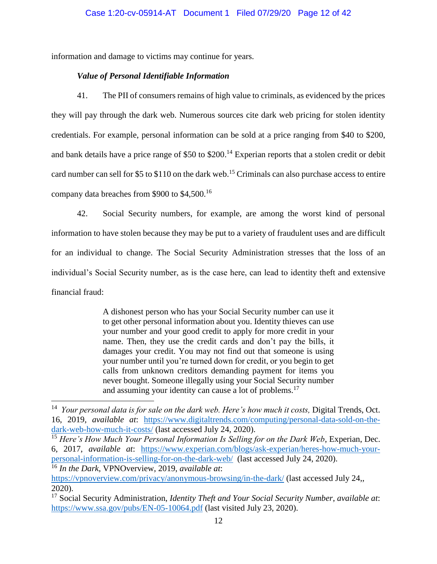information and damage to victims may continue for years.

## *Value of Personal Identifiable Information*

 $\overline{a}$ 

41. The PII of consumers remains of high value to criminals, as evidenced by the prices they will pay through the dark web. Numerous sources cite dark web pricing for stolen identity credentials. For example, personal information can be sold at a price ranging from \$40 to \$200, and bank details have a price range of \$50 to \$200.<sup>14</sup> Experian reports that a stolen credit or debit card number can sell for \$5 to \$110 on the dark web.<sup>15</sup> Criminals can also purchase access to entire company data breaches from \$900 to \$4,500.<sup>16</sup>

42. Social Security numbers, for example, are among the worst kind of personal information to have stolen because they may be put to a variety of fraudulent uses and are difficult for an individual to change. The Social Security Administration stresses that the loss of an individual's Social Security number, as is the case here, can lead to identity theft and extensive financial fraud:

> A dishonest person who has your Social Security number can use it to get other personal information about you. Identity thieves can use your number and your good credit to apply for more credit in your name. Then, they use the credit cards and don't pay the bills, it damages your credit. You may not find out that someone is using your number until you're turned down for credit, or you begin to get calls from unknown creditors demanding payment for items you never bought. Someone illegally using your Social Security number and assuming your identity can cause a lot of problems.<sup>17</sup>

<sup>&</sup>lt;sup>14</sup> Your personal data is for sale on the dark web. Here's how much it costs, Digital Trends, Oct. 16, 2019, *available at*: [https://www.digitaltrends.com/computing/personal-data-sold-on-the](https://www.digitaltrends.com/computing/personal-data-sold-on-the-dark-web-how-much-it-costs/)[dark-web-how-much-it-costs/](https://www.digitaltrends.com/computing/personal-data-sold-on-the-dark-web-how-much-it-costs/) (last accessed July 24, 2020).

<sup>15</sup> *Here's How Much Your Personal Information Is Selling for on the Dark Web*, Experian, Dec. 6, 2017, *available at*: [https://www.experian.com/blogs/ask-experian/heres-how-much-your](https://www.experian.com/blogs/ask-experian/heres-how-much-your-personal-information-is-selling-for-on-the-dark-web/)[personal-information-is-selling-for-on-the-dark-web/](https://www.experian.com/blogs/ask-experian/heres-how-much-your-personal-information-is-selling-for-on-the-dark-web/) (last accessed July 24, 2020). <sup>16</sup> *In the Dark*, VPNOverview, 2019, *available at*:

<https://vpnoverview.com/privacy/anonymous-browsing/in-the-dark/> (last accessed July 24,, 2020).

<sup>17</sup> Social Security Administration, *Identity Theft and Your Social Security Number*, *available at*: <https://www.ssa.gov/pubs/EN-05-10064.pdf> (last visited July 23, 2020).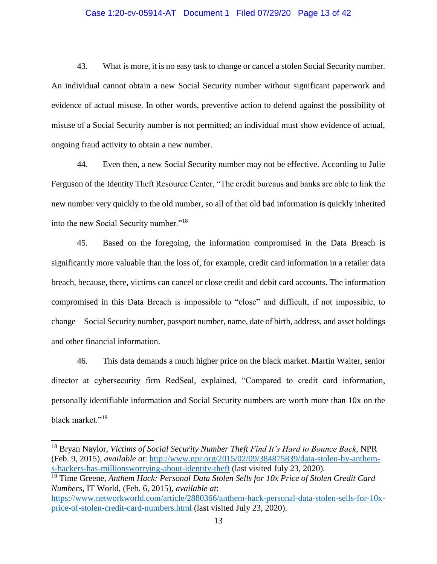### Case 1:20-cv-05914-AT Document 1 Filed 07/29/20 Page 13 of 42

43. What is more, it is no easy task to change or cancel a stolen Social Security number. An individual cannot obtain a new Social Security number without significant paperwork and evidence of actual misuse. In other words, preventive action to defend against the possibility of misuse of a Social Security number is not permitted; an individual must show evidence of actual, ongoing fraud activity to obtain a new number.

44. Even then, a new Social Security number may not be effective. According to Julie Ferguson of the Identity Theft Resource Center, "The credit bureaus and banks are able to link the new number very quickly to the old number, so all of that old bad information is quickly inherited into the new Social Security number."<sup>18</sup>

45. Based on the foregoing, the information compromised in the Data Breach is significantly more valuable than the loss of, for example, credit card information in a retailer data breach, because, there, victims can cancel or close credit and debit card accounts. The information compromised in this Data Breach is impossible to "close" and difficult, if not impossible, to change—Social Security number, passport number, name, date of birth, address, and asset holdings and other financial information.

46. This data demands a much higher price on the black market. Martin Walter, senior director at cybersecurity firm RedSeal, explained, "Compared to credit card information, personally identifiable information and Social Security numbers are worth more than 10x on the black market."<sup>19</sup>

 $\overline{a}$ 

<sup>18</sup> Bryan Naylor, *Victims of Social Security Number Theft Find It's Hard to Bounce Back*, NPR (Feb. 9, 2015), *available at*: [http://www.npr.org/2015/02/09/384875839/data-stolen-by-anthem](http://www.npr.org/2015/02/09/384875839/data-stolen-by-anthem-s-hackers-has-millionsworrying-about-identity-theft)[s-hackers-has-millionsworrying-about-identity-theft](http://www.npr.org/2015/02/09/384875839/data-stolen-by-anthem-s-hackers-has-millionsworrying-about-identity-theft) (last visited July 23, 2020).

<sup>19</sup> Time Greene, *Anthem Hack: Personal Data Stolen Sells for 10x Price of Stolen Credit Card Numbers*, IT World, (Feb. 6, 2015), *available at*:

[https://www.networkworld.com/article/2880366/anthem-hack-personal-data-stolen-sells-for-10x](https://www.networkworld.com/article/2880366/anthem-hack-personal-data-stolen-sells-for-10x-price-of-stolen-credit-card-numbers.html)[price-of-stolen-credit-card-numbers.html](https://www.networkworld.com/article/2880366/anthem-hack-personal-data-stolen-sells-for-10x-price-of-stolen-credit-card-numbers.html) (last visited July 23, 2020).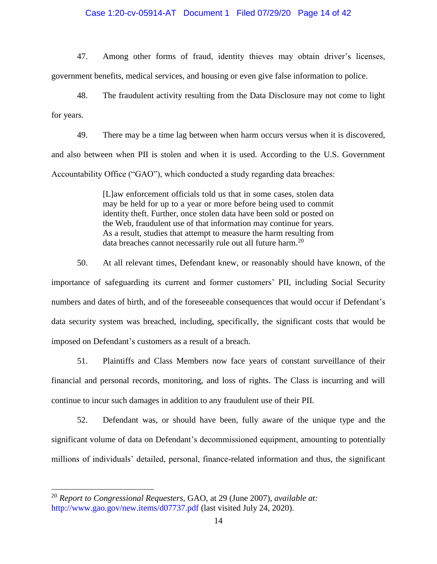#### Case 1:20-cv-05914-AT Document 1 Filed 07/29/20 Page 14 of 42

47. Among other forms of fraud, identity thieves may obtain driver's licenses, government benefits, medical services, and housing or even give false information to police.

48. The fraudulent activity resulting from the Data Disclosure may not come to light for years.

49. There may be a time lag between when harm occurs versus when it is discovered, and also between when PII is stolen and when it is used. According to the U.S. Government Accountability Office ("GAO"), which conducted a study regarding data breaches:

> [L]aw enforcement officials told us that in some cases, stolen data may be held for up to a year or more before being used to commit identity theft. Further, once stolen data have been sold or posted on the Web, fraudulent use of that information may continue for years. As a result, studies that attempt to measure the harm resulting from data breaches cannot necessarily rule out all future harm.<sup>20</sup>

50. At all relevant times, Defendant knew, or reasonably should have known, of the importance of safeguarding its current and former customers' PII, including Social Security numbers and dates of birth, and of the foreseeable consequences that would occur if Defendant's data security system was breached, including, specifically, the significant costs that would be imposed on Defendant's customers as a result of a breach.

51. Plaintiffs and Class Members now face years of constant surveillance of their financial and personal records, monitoring, and loss of rights. The Class is incurring and will continue to incur such damages in addition to any fraudulent use of their PII.

52. Defendant was, or should have been, fully aware of the unique type and the significant volume of data on Defendant's decommissioned equipment, amounting to potentially millions of individuals' detailed, personal, finance-related information and thus, the significant

 $\overline{a}$ 

<sup>20</sup> *Report to Congressional Requesters*, GAO, at 29 (June 2007), *available at:*  http://www.gao.gov/new.items/d07737.pdf (last visited July 24, 2020).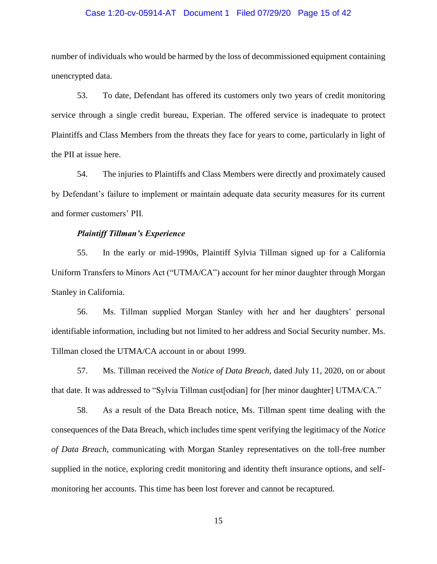#### Case 1:20-cv-05914-AT Document 1 Filed 07/29/20 Page 15 of 42

number of individuals who would be harmed by the loss of decommissioned equipment containing unencrypted data.

53. To date, Defendant has offered its customers only two years of credit monitoring service through a single credit bureau, Experian. The offered service is inadequate to protect Plaintiffs and Class Members from the threats they face for years to come, particularly in light of the PII at issue here.

54. The injuries to Plaintiffs and Class Members were directly and proximately caused by Defendant's failure to implement or maintain adequate data security measures for its current and former customers' PII.

#### *Plaintiff Tillman's Experience*

55. In the early or mid-1990s, Plaintiff Sylvia Tillman signed up for a California Uniform Transfers to Minors Act ("UTMA/CA") account for her minor daughter through Morgan Stanley in California.

56. Ms. Tillman supplied Morgan Stanley with her and her daughters' personal identifiable information, including but not limited to her address and Social Security number. Ms. Tillman closed the UTMA/CA account in or about 1999.

57. Ms. Tillman received the *Notice of Data Breach*, dated July 11, 2020, on or about that date. It was addressed to "Sylvia Tillman cust[odian] for [her minor daughter] UTMA/CA."

58. As a result of the Data Breach notice, Ms. Tillman spent time dealing with the consequences of the Data Breach, which includes time spent verifying the legitimacy of the *Notice of Data Breach*, communicating with Morgan Stanley representatives on the toll-free number supplied in the notice, exploring credit monitoring and identity theft insurance options, and selfmonitoring her accounts. This time has been lost forever and cannot be recaptured.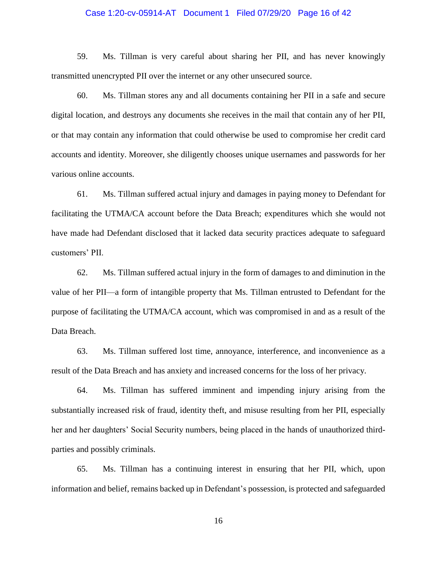#### Case 1:20-cv-05914-AT Document 1 Filed 07/29/20 Page 16 of 42

59. Ms. Tillman is very careful about sharing her PII, and has never knowingly transmitted unencrypted PII over the internet or any other unsecured source.

60. Ms. Tillman stores any and all documents containing her PII in a safe and secure digital location, and destroys any documents she receives in the mail that contain any of her PII, or that may contain any information that could otherwise be used to compromise her credit card accounts and identity. Moreover, she diligently chooses unique usernames and passwords for her various online accounts.

61. Ms. Tillman suffered actual injury and damages in paying money to Defendant for facilitating the UTMA/CA account before the Data Breach; expenditures which she would not have made had Defendant disclosed that it lacked data security practices adequate to safeguard customers' PII.

62. Ms. Tillman suffered actual injury in the form of damages to and diminution in the value of her PII—a form of intangible property that Ms. Tillman entrusted to Defendant for the purpose of facilitating the UTMA/CA account, which was compromised in and as a result of the Data Breach.

63. Ms. Tillman suffered lost time, annoyance, interference, and inconvenience as a result of the Data Breach and has anxiety and increased concerns for the loss of her privacy.

64. Ms. Tillman has suffered imminent and impending injury arising from the substantially increased risk of fraud, identity theft, and misuse resulting from her PII, especially her and her daughters' Social Security numbers, being placed in the hands of unauthorized thirdparties and possibly criminals.

65. Ms. Tillman has a continuing interest in ensuring that her PII, which, upon information and belief, remains backed up in Defendant's possession, is protected and safeguarded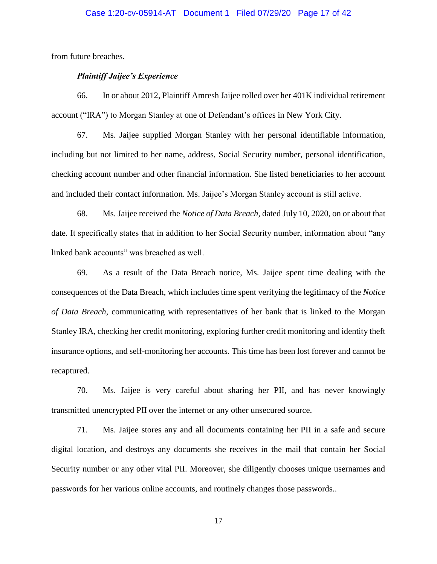#### Case 1:20-cv-05914-AT Document 1 Filed 07/29/20 Page 17 of 42

from future breaches.

### *Plaintiff Jaijee's Experience*

66. In or about 2012, Plaintiff Amresh Jaijee rolled over her 401K individual retirement account ("IRA") to Morgan Stanley at one of Defendant's offices in New York City.

67. Ms. Jaijee supplied Morgan Stanley with her personal identifiable information, including but not limited to her name, address, Social Security number, personal identification, checking account number and other financial information. She listed beneficiaries to her account and included their contact information. Ms. Jaijee's Morgan Stanley account is still active.

68. Ms. Jaijee received the *Notice of Data Breach*, dated July 10, 2020, on or about that date. It specifically states that in addition to her Social Security number, information about "any linked bank accounts" was breached as well.

69. As a result of the Data Breach notice, Ms. Jaijee spent time dealing with the consequences of the Data Breach, which includes time spent verifying the legitimacy of the *Notice of Data Breach*, communicating with representatives of her bank that is linked to the Morgan Stanley IRA, checking her credit monitoring, exploring further credit monitoring and identity theft insurance options, and self-monitoring her accounts. This time has been lost forever and cannot be recaptured.

70. Ms. Jaijee is very careful about sharing her PII, and has never knowingly transmitted unencrypted PII over the internet or any other unsecured source.

71. Ms. Jaijee stores any and all documents containing her PII in a safe and secure digital location, and destroys any documents she receives in the mail that contain her Social Security number or any other vital PII. Moreover, she diligently chooses unique usernames and passwords for her various online accounts, and routinely changes those passwords..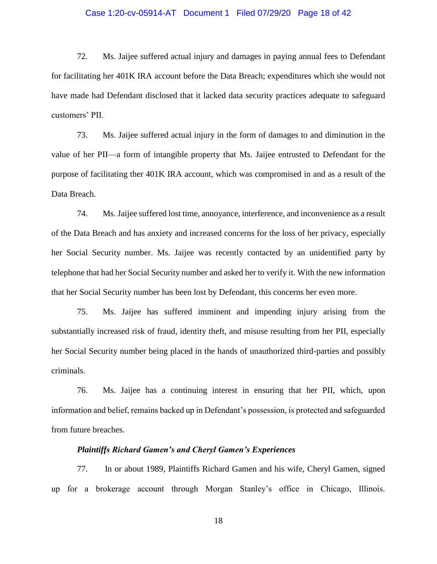#### Case 1:20-cv-05914-AT Document 1 Filed 07/29/20 Page 18 of 42

72. Ms. Jaijee suffered actual injury and damages in paying annual fees to Defendant for facilitating her 401K IRA account before the Data Breach; expenditures which she would not have made had Defendant disclosed that it lacked data security practices adequate to safeguard customers' PII.

73. Ms. Jaijee suffered actual injury in the form of damages to and diminution in the value of her PII—a form of intangible property that Ms. Jaijee entrusted to Defendant for the purpose of facilitating ther 401K IRA account, which was compromised in and as a result of the Data Breach.

74. Ms. Jaijee suffered lost time, annoyance, interference, and inconvenience as a result of the Data Breach and has anxiety and increased concerns for the loss of her privacy, especially her Social Security number. Ms. Jaijee was recently contacted by an unidentified party by telephone that had her Social Security number and asked her to verify it. With the new information that her Social Security number has been lost by Defendant, this concerns her even more.

75. Ms. Jaijee has suffered imminent and impending injury arising from the substantially increased risk of fraud, identity theft, and misuse resulting from her PII, especially her Social Security number being placed in the hands of unauthorized third-parties and possibly criminals.

76. Ms. Jaijee has a continuing interest in ensuring that her PII, which, upon information and belief, remains backed up in Defendant's possession, is protected and safeguarded from future breaches.

#### *Plaintiffs Richard Gamen's and Cheryl Gamen's Experiences*

77. In or about 1989, Plaintiffs Richard Gamen and his wife, Cheryl Gamen, signed up for a brokerage account through Morgan Stanley's office in Chicago, Illinois.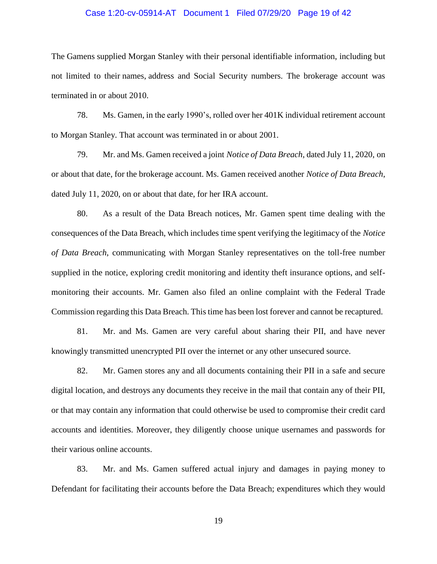#### Case 1:20-cv-05914-AT Document 1 Filed 07/29/20 Page 19 of 42

The Gamens supplied Morgan Stanley with their personal identifiable information, including but not limited to their names, address and Social Security numbers. The brokerage account was terminated in or about 2010.

78. Ms. Gamen, in the early 1990's, rolled over her 401K individual retirement account to Morgan Stanley. That account was terminated in or about 2001.

79. Mr. and Ms. Gamen received a joint *Notice of Data Breach*, dated July 11, 2020, on or about that date, for the brokerage account. Ms. Gamen received another *Notice of Data Breach*, dated July 11, 2020, on or about that date, for her IRA account.

80. As a result of the Data Breach notices, Mr. Gamen spent time dealing with the consequences of the Data Breach, which includes time spent verifying the legitimacy of the *Notice of Data Breach*, communicating with Morgan Stanley representatives on the toll-free number supplied in the notice, exploring credit monitoring and identity theft insurance options, and selfmonitoring their accounts. Mr. Gamen also filed an online complaint with the Federal Trade Commission regarding this Data Breach. This time has been lost forever and cannot be recaptured.

81. Mr. and Ms. Gamen are very careful about sharing their PII, and have never knowingly transmitted unencrypted PII over the internet or any other unsecured source.

82. Mr. Gamen stores any and all documents containing their PII in a safe and secure digital location, and destroys any documents they receive in the mail that contain any of their PII, or that may contain any information that could otherwise be used to compromise their credit card accounts and identities. Moreover, they diligently choose unique usernames and passwords for their various online accounts.

83. Mr. and Ms. Gamen suffered actual injury and damages in paying money to Defendant for facilitating their accounts before the Data Breach; expenditures which they would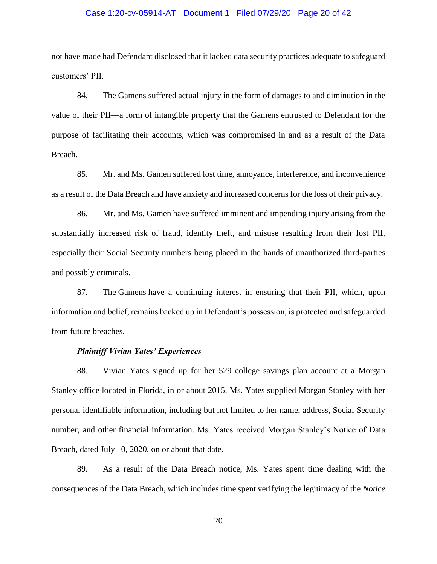#### Case 1:20-cv-05914-AT Document 1 Filed 07/29/20 Page 20 of 42

not have made had Defendant disclosed that it lacked data security practices adequate to safeguard customers' PII.

84. The Gamens suffered actual injury in the form of damages to and diminution in the value of their PII—a form of intangible property that the Gamens entrusted to Defendant for the purpose of facilitating their accounts, which was compromised in and as a result of the Data Breach.

85. Mr. and Ms. Gamen suffered lost time, annoyance, interference, and inconvenience as a result of the Data Breach and have anxiety and increased concerns for the loss of their privacy.

86. Mr. and Ms. Gamen have suffered imminent and impending injury arising from the substantially increased risk of fraud, identity theft, and misuse resulting from their lost PII, especially their Social Security numbers being placed in the hands of unauthorized third-parties and possibly criminals.

87. The Gamens have a continuing interest in ensuring that their PII, which, upon information and belief, remains backed up in Defendant's possession, is protected and safeguarded from future breaches.

#### *Plaintiff Vivian Yates' Experiences*

88. Vivian Yates signed up for her 529 college savings plan account at a Morgan Stanley office located in Florida, in or about 2015. Ms. Yates supplied Morgan Stanley with her personal identifiable information, including but not limited to her name, address, Social Security number, and other financial information. Ms. Yates received Morgan Stanley's Notice of Data Breach, dated July 10, 2020, on or about that date.

89. As a result of the Data Breach notice, Ms. Yates spent time dealing with the consequences of the Data Breach, which includes time spent verifying the legitimacy of the *Notice*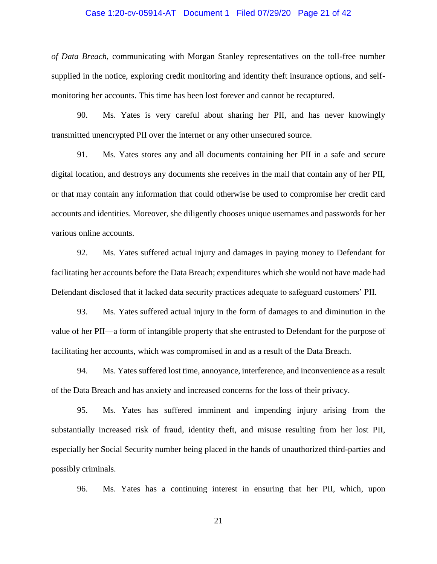#### Case 1:20-cv-05914-AT Document 1 Filed 07/29/20 Page 21 of 42

*of Data Breach*, communicating with Morgan Stanley representatives on the toll-free number supplied in the notice, exploring credit monitoring and identity theft insurance options, and selfmonitoring her accounts. This time has been lost forever and cannot be recaptured.

90. Ms. Yates is very careful about sharing her PII, and has never knowingly transmitted unencrypted PII over the internet or any other unsecured source.

91. Ms. Yates stores any and all documents containing her PII in a safe and secure digital location, and destroys any documents she receives in the mail that contain any of her PII, or that may contain any information that could otherwise be used to compromise her credit card accounts and identities. Moreover, she diligently chooses unique usernames and passwords for her various online accounts.

92. Ms. Yates suffered actual injury and damages in paying money to Defendant for facilitating her accounts before the Data Breach; expenditures which she would not have made had Defendant disclosed that it lacked data security practices adequate to safeguard customers' PII.

93. Ms. Yates suffered actual injury in the form of damages to and diminution in the value of her PII—a form of intangible property that she entrusted to Defendant for the purpose of facilitating her accounts, which was compromised in and as a result of the Data Breach.

94. Ms. Yates suffered lost time, annoyance, interference, and inconvenience as a result of the Data Breach and has anxiety and increased concerns for the loss of their privacy.

95. Ms. Yates has suffered imminent and impending injury arising from the substantially increased risk of fraud, identity theft, and misuse resulting from her lost PII, especially her Social Security number being placed in the hands of unauthorized third-parties and possibly criminals.

96. Ms. Yates has a continuing interest in ensuring that her PII, which, upon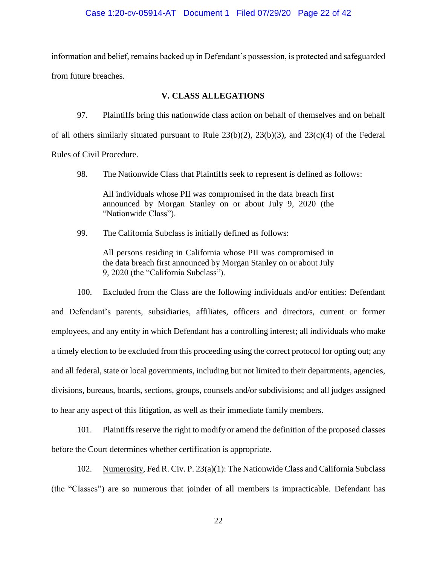#### Case 1:20-cv-05914-AT Document 1 Filed 07/29/20 Page 22 of 42

information and belief, remains backed up in Defendant's possession, is protected and safeguarded from future breaches.

### **V. CLASS ALLEGATIONS**

97. Plaintiffs bring this nationwide class action on behalf of themselves and on behalf of all others similarly situated pursuant to Rule 23(b)(2), 23(b)(3), and 23(c)(4) of the Federal Rules of Civil Procedure.

98. The Nationwide Class that Plaintiffs seek to represent is defined as follows:

All individuals whose PII was compromised in the data breach first announced by Morgan Stanley on or about July 9, 2020 (the "Nationwide Class").

99. The California Subclass is initially defined as follows:

All persons residing in California whose PII was compromised in the data breach first announced by Morgan Stanley on or about July 9, 2020 (the "California Subclass").

100. Excluded from the Class are the following individuals and/or entities: Defendant and Defendant's parents, subsidiaries, affiliates, officers and directors, current or former employees, and any entity in which Defendant has a controlling interest; all individuals who make a timely election to be excluded from this proceeding using the correct protocol for opting out; any and all federal, state or local governments, including but not limited to their departments, agencies, divisions, bureaus, boards, sections, groups, counsels and/or subdivisions; and all judges assigned to hear any aspect of this litigation, as well as their immediate family members.

101. Plaintiffs reserve the right to modify or amend the definition of the proposed classes before the Court determines whether certification is appropriate.

102. Numerosity, Fed R. Civ. P. 23(a)(1): The Nationwide Class and California Subclass (the "Classes") are so numerous that joinder of all members is impracticable. Defendant has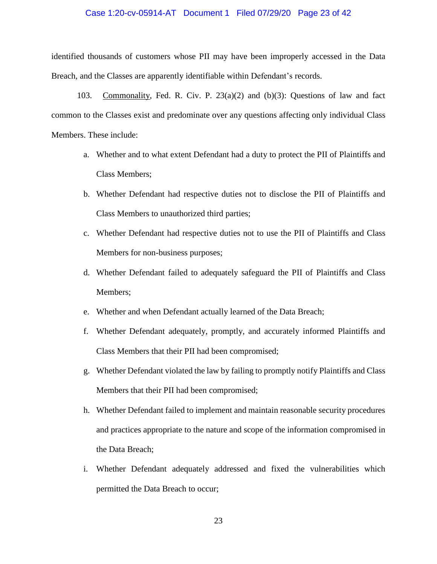#### Case 1:20-cv-05914-AT Document 1 Filed 07/29/20 Page 23 of 42

identified thousands of customers whose PII may have been improperly accessed in the Data Breach, and the Classes are apparently identifiable within Defendant's records.

103. Commonality, Fed. R. Civ. P. 23(a)(2) and (b)(3): Questions of law and fact common to the Classes exist and predominate over any questions affecting only individual Class Members. These include:

- a. Whether and to what extent Defendant had a duty to protect the PII of Plaintiffs and Class Members;
- b. Whether Defendant had respective duties not to disclose the PII of Plaintiffs and Class Members to unauthorized third parties;
- c. Whether Defendant had respective duties not to use the PII of Plaintiffs and Class Members for non-business purposes;
- d. Whether Defendant failed to adequately safeguard the PII of Plaintiffs and Class Members;
- e. Whether and when Defendant actually learned of the Data Breach;
- f. Whether Defendant adequately, promptly, and accurately informed Plaintiffs and Class Members that their PII had been compromised;
- g. Whether Defendant violated the law by failing to promptly notify Plaintiffs and Class Members that their PII had been compromised;
- h. Whether Defendant failed to implement and maintain reasonable security procedures and practices appropriate to the nature and scope of the information compromised in the Data Breach;
- i. Whether Defendant adequately addressed and fixed the vulnerabilities which permitted the Data Breach to occur;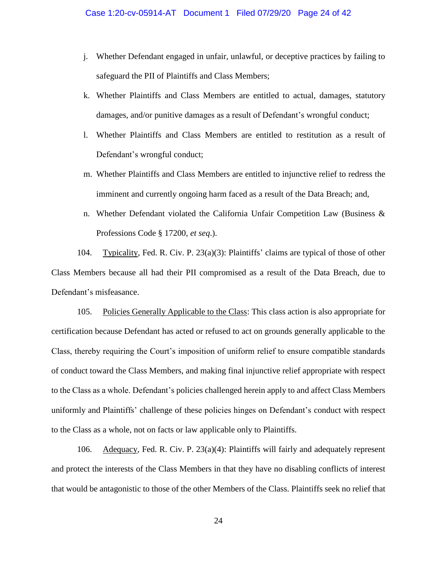- j. Whether Defendant engaged in unfair, unlawful, or deceptive practices by failing to safeguard the PII of Plaintiffs and Class Members;
- k. Whether Plaintiffs and Class Members are entitled to actual, damages, statutory damages, and/or punitive damages as a result of Defendant's wrongful conduct;
- l. Whether Plaintiffs and Class Members are entitled to restitution as a result of Defendant's wrongful conduct;
- m. Whether Plaintiffs and Class Members are entitled to injunctive relief to redress the imminent and currently ongoing harm faced as a result of the Data Breach; and,
- n. Whether Defendant violated the California Unfair Competition Law (Business & Professions Code § 17200, *et seq*.).

104. Typicality, Fed. R. Civ. P. 23(a)(3): Plaintiffs' claims are typical of those of other Class Members because all had their PII compromised as a result of the Data Breach, due to Defendant's misfeasance.

105. Policies Generally Applicable to the Class: This class action is also appropriate for certification because Defendant has acted or refused to act on grounds generally applicable to the Class, thereby requiring the Court's imposition of uniform relief to ensure compatible standards of conduct toward the Class Members, and making final injunctive relief appropriate with respect to the Class as a whole. Defendant's policies challenged herein apply to and affect Class Members uniformly and Plaintiffs' challenge of these policies hinges on Defendant's conduct with respect to the Class as a whole, not on facts or law applicable only to Plaintiffs.

106. Adequacy, Fed. R. Civ. P. 23(a)(4): Plaintiffs will fairly and adequately represent and protect the interests of the Class Members in that they have no disabling conflicts of interest that would be antagonistic to those of the other Members of the Class. Plaintiffs seek no relief that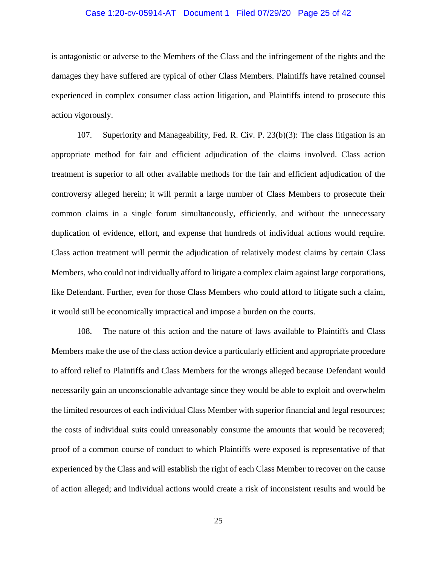#### Case 1:20-cv-05914-AT Document 1 Filed 07/29/20 Page 25 of 42

is antagonistic or adverse to the Members of the Class and the infringement of the rights and the damages they have suffered are typical of other Class Members. Plaintiffs have retained counsel experienced in complex consumer class action litigation, and Plaintiffs intend to prosecute this action vigorously.

107. Superiority and Manageability, Fed. R. Civ. P. 23(b)(3): The class litigation is an appropriate method for fair and efficient adjudication of the claims involved. Class action treatment is superior to all other available methods for the fair and efficient adjudication of the controversy alleged herein; it will permit a large number of Class Members to prosecute their common claims in a single forum simultaneously, efficiently, and without the unnecessary duplication of evidence, effort, and expense that hundreds of individual actions would require. Class action treatment will permit the adjudication of relatively modest claims by certain Class Members, who could not individually afford to litigate a complex claim against large corporations, like Defendant. Further, even for those Class Members who could afford to litigate such a claim, it would still be economically impractical and impose a burden on the courts.

108. The nature of this action and the nature of laws available to Plaintiffs and Class Members make the use of the class action device a particularly efficient and appropriate procedure to afford relief to Plaintiffs and Class Members for the wrongs alleged because Defendant would necessarily gain an unconscionable advantage since they would be able to exploit and overwhelm the limited resources of each individual Class Member with superior financial and legal resources; the costs of individual suits could unreasonably consume the amounts that would be recovered; proof of a common course of conduct to which Plaintiffs were exposed is representative of that experienced by the Class and will establish the right of each Class Member to recover on the cause of action alleged; and individual actions would create a risk of inconsistent results and would be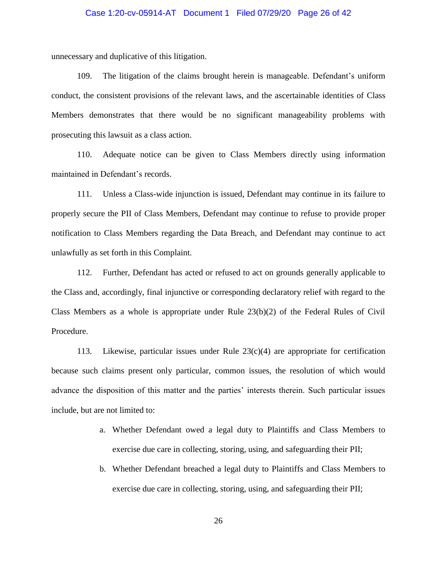#### Case 1:20-cv-05914-AT Document 1 Filed 07/29/20 Page 26 of 42

unnecessary and duplicative of this litigation.

109. The litigation of the claims brought herein is manageable. Defendant's uniform conduct, the consistent provisions of the relevant laws, and the ascertainable identities of Class Members demonstrates that there would be no significant manageability problems with prosecuting this lawsuit as a class action.

110. Adequate notice can be given to Class Members directly using information maintained in Defendant's records.

111. Unless a Class-wide injunction is issued, Defendant may continue in its failure to properly secure the PII of Class Members, Defendant may continue to refuse to provide proper notification to Class Members regarding the Data Breach, and Defendant may continue to act unlawfully as set forth in this Complaint.

112. Further, Defendant has acted or refused to act on grounds generally applicable to the Class and, accordingly, final injunctive or corresponding declaratory relief with regard to the Class Members as a whole is appropriate under Rule  $23(b)(2)$  of the Federal Rules of Civil Procedure.

113. Likewise, particular issues under Rule  $23(c)(4)$  are appropriate for certification because such claims present only particular, common issues, the resolution of which would advance the disposition of this matter and the parties' interests therein. Such particular issues include, but are not limited to:

- a. Whether Defendant owed a legal duty to Plaintiffs and Class Members to exercise due care in collecting, storing, using, and safeguarding their PII;
- b. Whether Defendant breached a legal duty to Plaintiffs and Class Members to exercise due care in collecting, storing, using, and safeguarding their PII;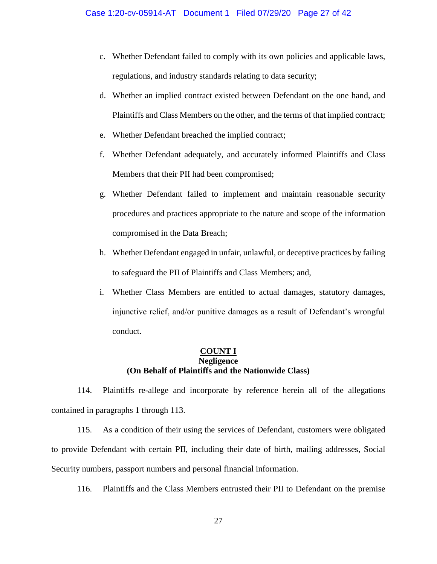- c. Whether Defendant failed to comply with its own policies and applicable laws, regulations, and industry standards relating to data security;
- d. Whether an implied contract existed between Defendant on the one hand, and Plaintiffs and Class Members on the other, and the terms of that implied contract;
- e. Whether Defendant breached the implied contract;
- f. Whether Defendant adequately, and accurately informed Plaintiffs and Class Members that their PII had been compromised;
- g. Whether Defendant failed to implement and maintain reasonable security procedures and practices appropriate to the nature and scope of the information compromised in the Data Breach;
- h. Whether Defendant engaged in unfair, unlawful, or deceptive practices by failing to safeguard the PII of Plaintiffs and Class Members; and,
- i. Whether Class Members are entitled to actual damages, statutory damages, injunctive relief, and/or punitive damages as a result of Defendant's wrongful conduct.

### **COUNT I Negligence (On Behalf of Plaintiffs and the Nationwide Class)**

114. Plaintiffs re-allege and incorporate by reference herein all of the allegations contained in paragraphs 1 through 113.

115. As a condition of their using the services of Defendant, customers were obligated to provide Defendant with certain PII, including their date of birth, mailing addresses, Social Security numbers, passport numbers and personal financial information.

116. Plaintiffs and the Class Members entrusted their PII to Defendant on the premise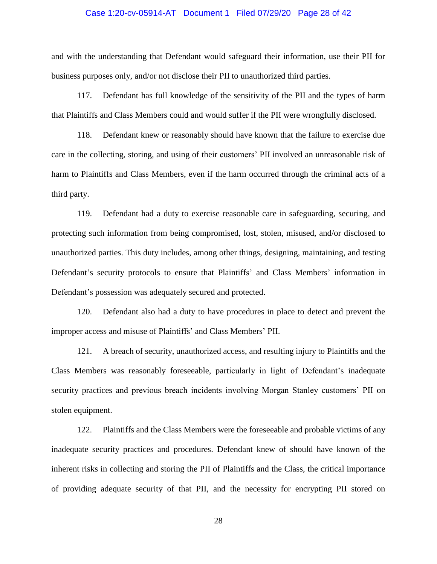#### Case 1:20-cv-05914-AT Document 1 Filed 07/29/20 Page 28 of 42

and with the understanding that Defendant would safeguard their information, use their PII for business purposes only, and/or not disclose their PII to unauthorized third parties.

117. Defendant has full knowledge of the sensitivity of the PII and the types of harm that Plaintiffs and Class Members could and would suffer if the PII were wrongfully disclosed.

118. Defendant knew or reasonably should have known that the failure to exercise due care in the collecting, storing, and using of their customers' PII involved an unreasonable risk of harm to Plaintiffs and Class Members, even if the harm occurred through the criminal acts of a third party.

119. Defendant had a duty to exercise reasonable care in safeguarding, securing, and protecting such information from being compromised, lost, stolen, misused, and/or disclosed to unauthorized parties. This duty includes, among other things, designing, maintaining, and testing Defendant's security protocols to ensure that Plaintiffs' and Class Members' information in Defendant's possession was adequately secured and protected.

120. Defendant also had a duty to have procedures in place to detect and prevent the improper access and misuse of Plaintiffs' and Class Members' PII.

121. A breach of security, unauthorized access, and resulting injury to Plaintiffs and the Class Members was reasonably foreseeable, particularly in light of Defendant's inadequate security practices and previous breach incidents involving Morgan Stanley customers' PII on stolen equipment.

122. Plaintiffs and the Class Members were the foreseeable and probable victims of any inadequate security practices and procedures. Defendant knew of should have known of the inherent risks in collecting and storing the PII of Plaintiffs and the Class, the critical importance of providing adequate security of that PII, and the necessity for encrypting PII stored on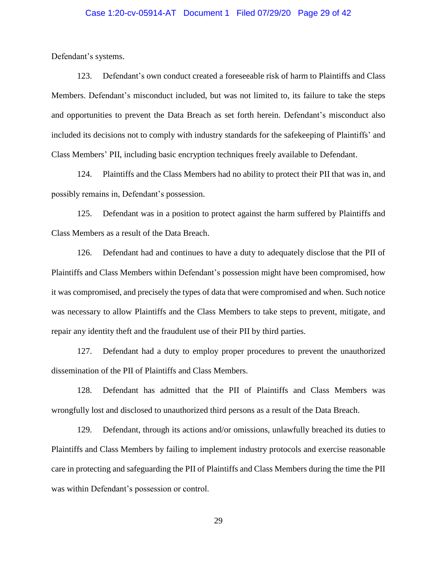#### Case 1:20-cv-05914-AT Document 1 Filed 07/29/20 Page 29 of 42

Defendant's systems.

123. Defendant's own conduct created a foreseeable risk of harm to Plaintiffs and Class Members. Defendant's misconduct included, but was not limited to, its failure to take the steps and opportunities to prevent the Data Breach as set forth herein. Defendant's misconduct also included its decisions not to comply with industry standards for the safekeeping of Plaintiffs' and Class Members' PII, including basic encryption techniques freely available to Defendant.

124. Plaintiffs and the Class Members had no ability to protect their PII that was in, and possibly remains in, Defendant's possession.

125. Defendant was in a position to protect against the harm suffered by Plaintiffs and Class Members as a result of the Data Breach.

126. Defendant had and continues to have a duty to adequately disclose that the PII of Plaintiffs and Class Members within Defendant's possession might have been compromised, how it was compromised, and precisely the types of data that were compromised and when. Such notice was necessary to allow Plaintiffs and the Class Members to take steps to prevent, mitigate, and repair any identity theft and the fraudulent use of their PII by third parties.

127. Defendant had a duty to employ proper procedures to prevent the unauthorized dissemination of the PII of Plaintiffs and Class Members.

128. Defendant has admitted that the PII of Plaintiffs and Class Members was wrongfully lost and disclosed to unauthorized third persons as a result of the Data Breach.

129. Defendant, through its actions and/or omissions, unlawfully breached its duties to Plaintiffs and Class Members by failing to implement industry protocols and exercise reasonable care in protecting and safeguarding the PII of Plaintiffs and Class Members during the time the PII was within Defendant's possession or control.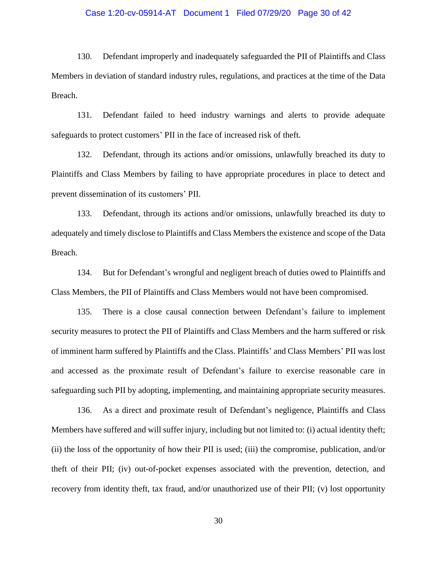#### Case 1:20-cv-05914-AT Document 1 Filed 07/29/20 Page 30 of 42

130. Defendant improperly and inadequately safeguarded the PII of Plaintiffs and Class Members in deviation of standard industry rules, regulations, and practices at the time of the Data Breach.

131. Defendant failed to heed industry warnings and alerts to provide adequate safeguards to protect customers' PII in the face of increased risk of theft.

132. Defendant, through its actions and/or omissions, unlawfully breached its duty to Plaintiffs and Class Members by failing to have appropriate procedures in place to detect and prevent dissemination of its customers' PII.

133. Defendant, through its actions and/or omissions, unlawfully breached its duty to adequately and timely disclose to Plaintiffs and Class Members the existence and scope of the Data Breach.

134. But for Defendant's wrongful and negligent breach of duties owed to Plaintiffs and Class Members, the PII of Plaintiffs and Class Members would not have been compromised.

135. There is a close causal connection between Defendant's failure to implement security measures to protect the PII of Plaintiffs and Class Members and the harm suffered or risk of imminent harm suffered by Plaintiffs and the Class. Plaintiffs' and Class Members' PII was lost and accessed as the proximate result of Defendant's failure to exercise reasonable care in safeguarding such PII by adopting, implementing, and maintaining appropriate security measures.

136. As a direct and proximate result of Defendant's negligence, Plaintiffs and Class Members have suffered and will suffer injury, including but not limited to: (i) actual identity theft; (ii) the loss of the opportunity of how their PII is used; (iii) the compromise, publication, and/or theft of their PII; (iv) out-of-pocket expenses associated with the prevention, detection, and recovery from identity theft, tax fraud, and/or unauthorized use of their PII; (v) lost opportunity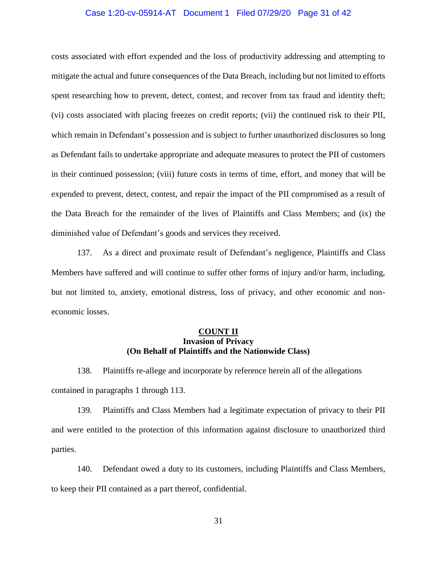#### Case 1:20-cv-05914-AT Document 1 Filed 07/29/20 Page 31 of 42

costs associated with effort expended and the loss of productivity addressing and attempting to mitigate the actual and future consequences of the Data Breach, including but not limited to efforts spent researching how to prevent, detect, contest, and recover from tax fraud and identity theft; (vi) costs associated with placing freezes on credit reports; (vii) the continued risk to their PII, which remain in Defendant's possession and is subject to further unauthorized disclosures so long as Defendant fails to undertake appropriate and adequate measures to protect the PII of customers in their continued possession; (viii) future costs in terms of time, effort, and money that will be expended to prevent, detect, contest, and repair the impact of the PII compromised as a result of the Data Breach for the remainder of the lives of Plaintiffs and Class Members; and (ix) the diminished value of Defendant's goods and services they received.

137. As a direct and proximate result of Defendant's negligence, Plaintiffs and Class Members have suffered and will continue to suffer other forms of injury and/or harm, including, but not limited to, anxiety, emotional distress, loss of privacy, and other economic and noneconomic losses.

### **COUNT II Invasion of Privacy (On Behalf of Plaintiffs and the Nationwide Class)**

138. Plaintiffs re-allege and incorporate by reference herein all of the allegations contained in paragraphs 1 through 113.

139. Plaintiffs and Class Members had a legitimate expectation of privacy to their PII and were entitled to the protection of this information against disclosure to unauthorized third parties.

140. Defendant owed a duty to its customers, including Plaintiffs and Class Members, to keep their PII contained as a part thereof, confidential.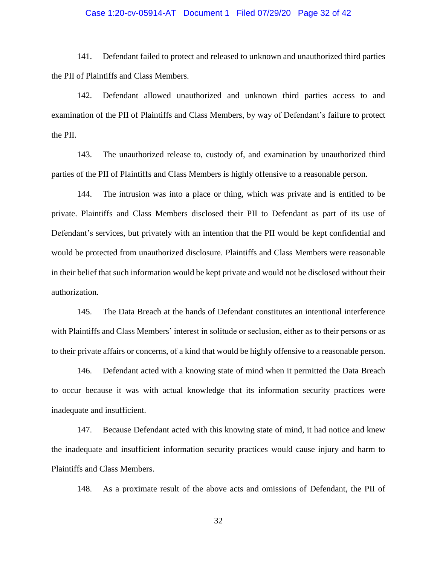#### Case 1:20-cv-05914-AT Document 1 Filed 07/29/20 Page 32 of 42

141. Defendant failed to protect and released to unknown and unauthorized third parties the PII of Plaintiffs and Class Members.

142. Defendant allowed unauthorized and unknown third parties access to and examination of the PII of Plaintiffs and Class Members, by way of Defendant's failure to protect the PII.

143. The unauthorized release to, custody of, and examination by unauthorized third parties of the PII of Plaintiffs and Class Members is highly offensive to a reasonable person.

144. The intrusion was into a place or thing, which was private and is entitled to be private. Plaintiffs and Class Members disclosed their PII to Defendant as part of its use of Defendant's services, but privately with an intention that the PII would be kept confidential and would be protected from unauthorized disclosure. Plaintiffs and Class Members were reasonable in their belief that such information would be kept private and would not be disclosed without their authorization.

145. The Data Breach at the hands of Defendant constitutes an intentional interference with Plaintiffs and Class Members' interest in solitude or seclusion, either as to their persons or as to their private affairs or concerns, of a kind that would be highly offensive to a reasonable person.

146. Defendant acted with a knowing state of mind when it permitted the Data Breach to occur because it was with actual knowledge that its information security practices were inadequate and insufficient.

147. Because Defendant acted with this knowing state of mind, it had notice and knew the inadequate and insufficient information security practices would cause injury and harm to Plaintiffs and Class Members.

148. As a proximate result of the above acts and omissions of Defendant, the PII of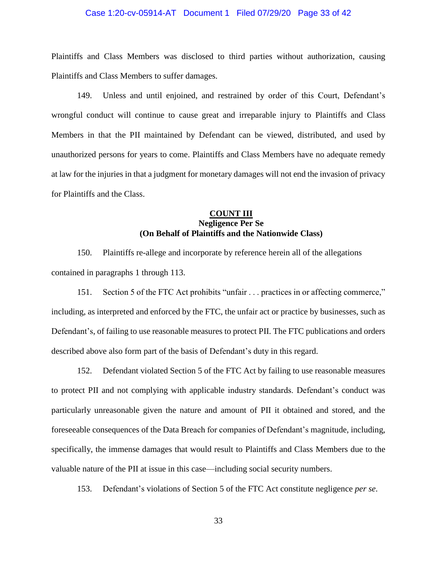#### Case 1:20-cv-05914-AT Document 1 Filed 07/29/20 Page 33 of 42

Plaintiffs and Class Members was disclosed to third parties without authorization, causing Plaintiffs and Class Members to suffer damages.

149. Unless and until enjoined, and restrained by order of this Court, Defendant's wrongful conduct will continue to cause great and irreparable injury to Plaintiffs and Class Members in that the PII maintained by Defendant can be viewed, distributed, and used by unauthorized persons for years to come. Plaintiffs and Class Members have no adequate remedy at law for the injuries in that a judgment for monetary damages will not end the invasion of privacy for Plaintiffs and the Class.

## **COUNT III Negligence Per Se (On Behalf of Plaintiffs and the Nationwide Class)**

150. Plaintiffs re-allege and incorporate by reference herein all of the allegations contained in paragraphs 1 through 113.

151. Section 5 of the FTC Act prohibits "unfair . . . practices in or affecting commerce," including, as interpreted and enforced by the FTC, the unfair act or practice by businesses, such as Defendant's, of failing to use reasonable measures to protect PII. The FTC publications and orders described above also form part of the basis of Defendant's duty in this regard.

152. Defendant violated Section 5 of the FTC Act by failing to use reasonable measures to protect PII and not complying with applicable industry standards. Defendant's conduct was particularly unreasonable given the nature and amount of PII it obtained and stored, and the foreseeable consequences of the Data Breach for companies of Defendant's magnitude, including, specifically, the immense damages that would result to Plaintiffs and Class Members due to the valuable nature of the PII at issue in this case—including social security numbers.

153. Defendant's violations of Section 5 of the FTC Act constitute negligence *per se*.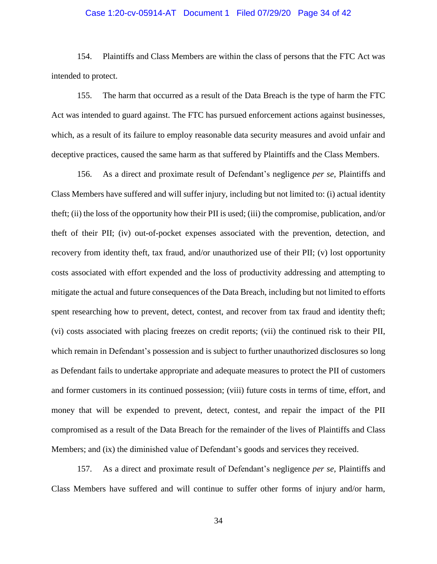#### Case 1:20-cv-05914-AT Document 1 Filed 07/29/20 Page 34 of 42

154. Plaintiffs and Class Members are within the class of persons that the FTC Act was intended to protect.

155. The harm that occurred as a result of the Data Breach is the type of harm the FTC Act was intended to guard against. The FTC has pursued enforcement actions against businesses, which, as a result of its failure to employ reasonable data security measures and avoid unfair and deceptive practices, caused the same harm as that suffered by Plaintiffs and the Class Members.

156. As a direct and proximate result of Defendant's negligence *per se*, Plaintiffs and Class Members have suffered and will suffer injury, including but not limited to: (i) actual identity theft; (ii) the loss of the opportunity how their PII is used; (iii) the compromise, publication, and/or theft of their PII; (iv) out-of-pocket expenses associated with the prevention, detection, and recovery from identity theft, tax fraud, and/or unauthorized use of their PII; (v) lost opportunity costs associated with effort expended and the loss of productivity addressing and attempting to mitigate the actual and future consequences of the Data Breach, including but not limited to efforts spent researching how to prevent, detect, contest, and recover from tax fraud and identity theft; (vi) costs associated with placing freezes on credit reports; (vii) the continued risk to their PII, which remain in Defendant's possession and is subject to further unauthorized disclosures so long as Defendant fails to undertake appropriate and adequate measures to protect the PII of customers and former customers in its continued possession; (viii) future costs in terms of time, effort, and money that will be expended to prevent, detect, contest, and repair the impact of the PII compromised as a result of the Data Breach for the remainder of the lives of Plaintiffs and Class Members; and (ix) the diminished value of Defendant's goods and services they received.

157. As a direct and proximate result of Defendant's negligence *per se*, Plaintiffs and Class Members have suffered and will continue to suffer other forms of injury and/or harm,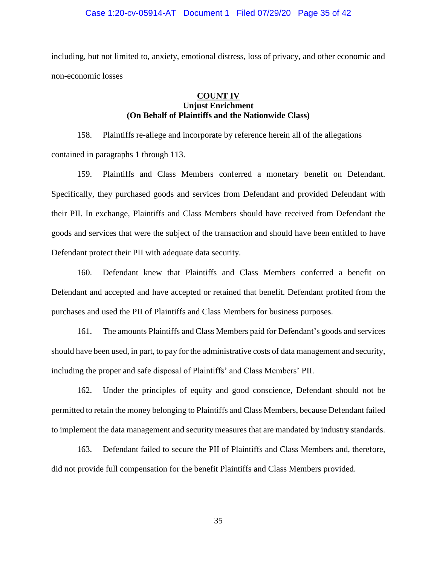#### Case 1:20-cv-05914-AT Document 1 Filed 07/29/20 Page 35 of 42

including, but not limited to, anxiety, emotional distress, loss of privacy, and other economic and non-economic losses

### **COUNT IV Unjust Enrichment (On Behalf of Plaintiffs and the Nationwide Class)**

158. Plaintiffs re-allege and incorporate by reference herein all of the allegations contained in paragraphs 1 through 113.

159. Plaintiffs and Class Members conferred a monetary benefit on Defendant. Specifically, they purchased goods and services from Defendant and provided Defendant with their PII. In exchange, Plaintiffs and Class Members should have received from Defendant the goods and services that were the subject of the transaction and should have been entitled to have Defendant protect their PII with adequate data security.

160. Defendant knew that Plaintiffs and Class Members conferred a benefit on Defendant and accepted and have accepted or retained that benefit. Defendant profited from the purchases and used the PII of Plaintiffs and Class Members for business purposes.

161. The amounts Plaintiffs and Class Members paid for Defendant's goods and services should have been used, in part, to pay for the administrative costs of data management and security, including the proper and safe disposal of Plaintiffs' and Class Members' PII.

162. Under the principles of equity and good conscience, Defendant should not be permitted to retain the money belonging to Plaintiffs and Class Members, because Defendant failed to implement the data management and security measures that are mandated by industry standards.

163. Defendant failed to secure the PII of Plaintiffs and Class Members and, therefore, did not provide full compensation for the benefit Plaintiffs and Class Members provided.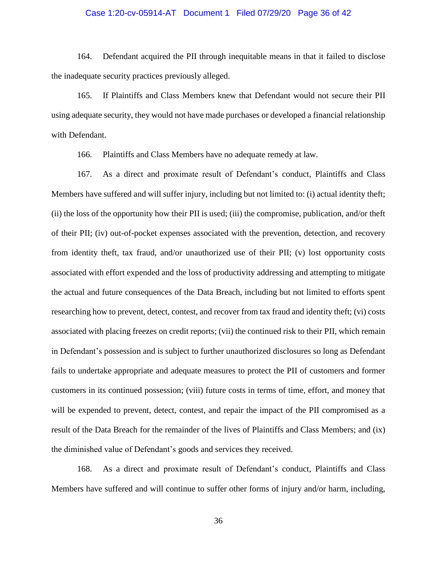#### Case 1:20-cv-05914-AT Document 1 Filed 07/29/20 Page 36 of 42

164. Defendant acquired the PII through inequitable means in that it failed to disclose the inadequate security practices previously alleged.

165. If Plaintiffs and Class Members knew that Defendant would not secure their PII using adequate security, they would not have made purchases or developed a financial relationship with Defendant.

166. Plaintiffs and Class Members have no adequate remedy at law.

167. As a direct and proximate result of Defendant's conduct, Plaintiffs and Class Members have suffered and will suffer injury, including but not limited to: (i) actual identity theft; (ii) the loss of the opportunity how their PII is used; (iii) the compromise, publication, and/or theft of their PII; (iv) out-of-pocket expenses associated with the prevention, detection, and recovery from identity theft, tax fraud, and/or unauthorized use of their PII; (v) lost opportunity costs associated with effort expended and the loss of productivity addressing and attempting to mitigate the actual and future consequences of the Data Breach, including but not limited to efforts spent researching how to prevent, detect, contest, and recover from tax fraud and identity theft; (vi) costs associated with placing freezes on credit reports; (vii) the continued risk to their PII, which remain in Defendant's possession and is subject to further unauthorized disclosures so long as Defendant fails to undertake appropriate and adequate measures to protect the PII of customers and former customers in its continued possession; (viii) future costs in terms of time, effort, and money that will be expended to prevent, detect, contest, and repair the impact of the PII compromised as a result of the Data Breach for the remainder of the lives of Plaintiffs and Class Members; and (ix) the diminished value of Defendant's goods and services they received.

168. As a direct and proximate result of Defendant's conduct, Plaintiffs and Class Members have suffered and will continue to suffer other forms of injury and/or harm, including,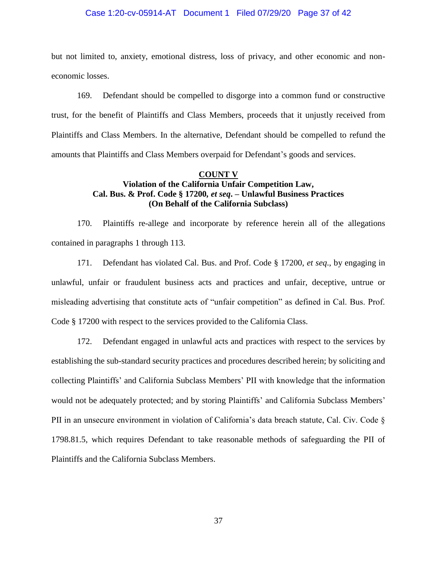#### Case 1:20-cv-05914-AT Document 1 Filed 07/29/20 Page 37 of 42

but not limited to, anxiety, emotional distress, loss of privacy, and other economic and noneconomic losses.

169. Defendant should be compelled to disgorge into a common fund or constructive trust, for the benefit of Plaintiffs and Class Members, proceeds that it unjustly received from Plaintiffs and Class Members. In the alternative, Defendant should be compelled to refund the amounts that Plaintiffs and Class Members overpaid for Defendant's goods and services.

#### **COUNT V**

## **Violation of the California Unfair Competition Law, Cal. Bus. & Prof. Code § 17200***, et seq***. – Unlawful Business Practices (On Behalf of the California Subclass)**

170. Plaintiffs re-allege and incorporate by reference herein all of the allegations contained in paragraphs 1 through 113.

171. Defendant has violated Cal. Bus. and Prof. Code § 17200, *et seq*., by engaging in unlawful, unfair or fraudulent business acts and practices and unfair, deceptive, untrue or misleading advertising that constitute acts of "unfair competition" as defined in Cal. Bus. Prof. Code § 17200 with respect to the services provided to the California Class.

172. Defendant engaged in unlawful acts and practices with respect to the services by establishing the sub-standard security practices and procedures described herein; by soliciting and collecting Plaintiffs' and California Subclass Members' PII with knowledge that the information would not be adequately protected; and by storing Plaintiffs' and California Subclass Members' PII in an unsecure environment in violation of California's data breach statute, Cal. Civ. Code § 1798.81.5, which requires Defendant to take reasonable methods of safeguarding the PII of Plaintiffs and the California Subclass Members.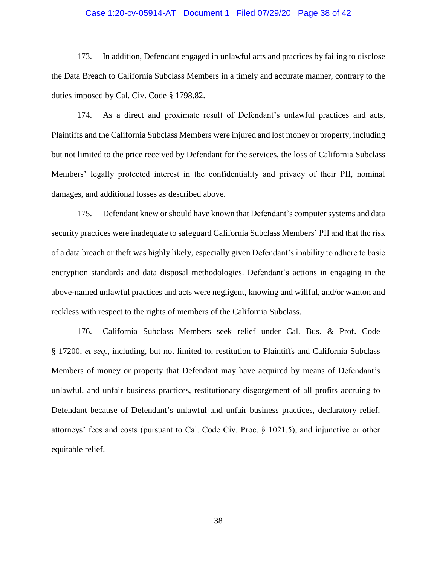#### Case 1:20-cv-05914-AT Document 1 Filed 07/29/20 Page 38 of 42

173. In addition, Defendant engaged in unlawful acts and practices by failing to disclose the Data Breach to California Subclass Members in a timely and accurate manner, contrary to the duties imposed by Cal. Civ. Code § 1798.82.

174. As a direct and proximate result of Defendant's unlawful practices and acts, Plaintiffs and the California Subclass Members were injured and lost money or property, including but not limited to the price received by Defendant for the services, the loss of California Subclass Members' legally protected interest in the confidentiality and privacy of their PII, nominal damages, and additional losses as described above.

175. Defendant knew or should have known that Defendant's computer systems and data security practices were inadequate to safeguard California Subclass Members' PII and that the risk of a data breach or theft was highly likely, especially given Defendant's inability to adhere to basic encryption standards and data disposal methodologies. Defendant's actions in engaging in the above-named unlawful practices and acts were negligent, knowing and willful, and/or wanton and reckless with respect to the rights of members of the California Subclass.

176. California Subclass Members seek relief under Cal. Bus. & Prof. Code § 17200, *et seq.*, including, but not limited to, restitution to Plaintiffs and California Subclass Members of money or property that Defendant may have acquired by means of Defendant's unlawful, and unfair business practices, restitutionary disgorgement of all profits accruing to Defendant because of Defendant's unlawful and unfair business practices, declaratory relief, attorneys' fees and costs (pursuant to Cal. Code Civ. Proc. § 1021.5), and injunctive or other equitable relief.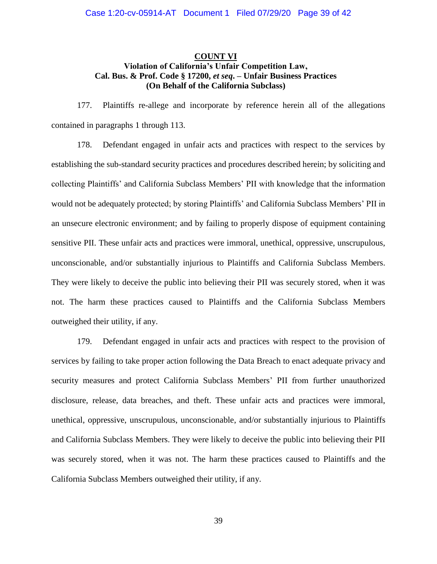### **COUNT VI Violation of California's Unfair Competition Law, Cal. Bus. & Prof. Code § 17200,** *et seq***. – Unfair Business Practices (On Behalf of the California Subclass)**

177. Plaintiffs re-allege and incorporate by reference herein all of the allegations contained in paragraphs 1 through 113.

178. Defendant engaged in unfair acts and practices with respect to the services by establishing the sub-standard security practices and procedures described herein; by soliciting and collecting Plaintiffs' and California Subclass Members' PII with knowledge that the information would not be adequately protected; by storing Plaintiffs' and California Subclass Members' PII in an unsecure electronic environment; and by failing to properly dispose of equipment containing sensitive PII. These unfair acts and practices were immoral, unethical, oppressive, unscrupulous, unconscionable, and/or substantially injurious to Plaintiffs and California Subclass Members. They were likely to deceive the public into believing their PII was securely stored, when it was not. The harm these practices caused to Plaintiffs and the California Subclass Members outweighed their utility, if any.

179. Defendant engaged in unfair acts and practices with respect to the provision of services by failing to take proper action following the Data Breach to enact adequate privacy and security measures and protect California Subclass Members' PII from further unauthorized disclosure, release, data breaches, and theft. These unfair acts and practices were immoral, unethical, oppressive, unscrupulous, unconscionable, and/or substantially injurious to Plaintiffs and California Subclass Members. They were likely to deceive the public into believing their PII was securely stored, when it was not. The harm these practices caused to Plaintiffs and the California Subclass Members outweighed their utility, if any.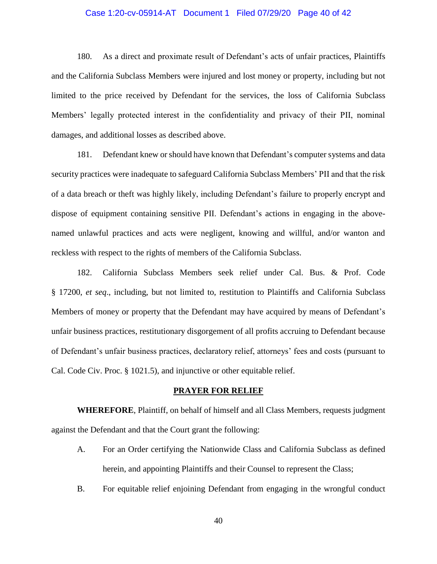#### Case 1:20-cv-05914-AT Document 1 Filed 07/29/20 Page 40 of 42

180. As a direct and proximate result of Defendant's acts of unfair practices, Plaintiffs and the California Subclass Members were injured and lost money or property, including but not limited to the price received by Defendant for the services, the loss of California Subclass Members' legally protected interest in the confidentiality and privacy of their PII, nominal damages, and additional losses as described above.

181. Defendant knew or should have known that Defendant's computer systems and data security practices were inadequate to safeguard California Subclass Members' PII and that the risk of a data breach or theft was highly likely, including Defendant's failure to properly encrypt and dispose of equipment containing sensitive PII. Defendant's actions in engaging in the abovenamed unlawful practices and acts were negligent, knowing and willful, and/or wanton and reckless with respect to the rights of members of the California Subclass.

182. California Subclass Members seek relief under Cal. Bus. & Prof. Code § 17200, *et seq*., including, but not limited to, restitution to Plaintiffs and California Subclass Members of money or property that the Defendant may have acquired by means of Defendant's unfair business practices, restitutionary disgorgement of all profits accruing to Defendant because of Defendant's unfair business practices, declaratory relief, attorneys' fees and costs (pursuant to Cal. Code Civ. Proc. § 1021.5), and injunctive or other equitable relief.

### **PRAYER FOR RELIEF**

**WHEREFORE**, Plaintiff, on behalf of himself and all Class Members, requests judgment against the Defendant and that the Court grant the following:

- A. For an Order certifying the Nationwide Class and California Subclass as defined herein, and appointing Plaintiffs and their Counsel to represent the Class;
- B. For equitable relief enjoining Defendant from engaging in the wrongful conduct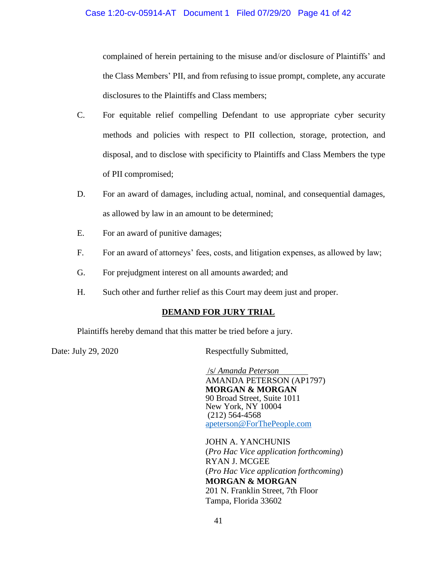complained of herein pertaining to the misuse and/or disclosure of Plaintiffs' and the Class Members' PII, and from refusing to issue prompt, complete, any accurate disclosures to the Plaintiffs and Class members;

- C. For equitable relief compelling Defendant to use appropriate cyber security methods and policies with respect to PII collection, storage, protection, and disposal, and to disclose with specificity to Plaintiffs and Class Members the type of PII compromised;
- D. For an award of damages, including actual, nominal, and consequential damages, as allowed by law in an amount to be determined;
- E. For an award of punitive damages;
- F. For an award of attorneys' fees, costs, and litigation expenses, as allowed by law;
- G. For prejudgment interest on all amounts awarded; and
- H. Such other and further relief as this Court may deem just and proper.

# **DEMAND FOR JURY TRIAL**

Plaintiffs hereby demand that this matter be tried before a jury.

Date: July 29, 2020 Respectfully Submitted,

/s/ *Amanda Peterson* AMANDA PETERSON (AP1797) **MORGAN & MORGAN** 90 Broad Street, Suite 1011 New York, NY 10004 (212) 564-4568 [apeterson@ForThePeople.com](mailto:apeterson@ForThePeople.com)

JOHN A. YANCHUNIS (*Pro Hac Vice application forthcoming*) RYAN J. MCGEE (*Pro Hac Vice application forthcoming*) **MORGAN & MORGAN** 201 N. Franklin Street, 7th Floor Tampa, Florida 33602